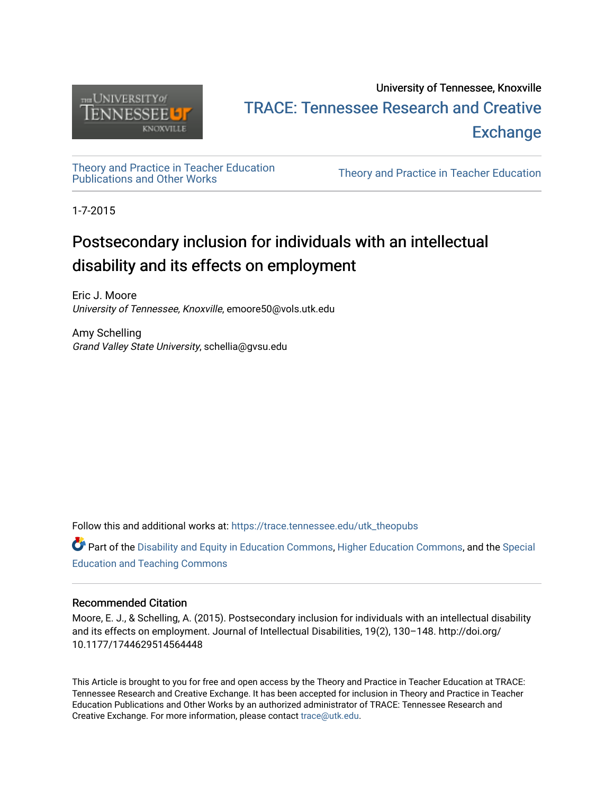

## University of Tennessee, Knoxville TRACE: T[ennessee Research and Cr](https://trace.tennessee.edu/)eative **Exchange**

# [Theory and Practice in Teacher Education](https://trace.tennessee.edu/utk_theopubs)

Theory and Practice in Teacher Education

1-7-2015

# Postsecondary inclusion for individuals with an intellectual disability and its effects on employment

Eric J. Moore University of Tennessee, Knoxville, emoore50@vols.utk.edu

Amy Schelling Grand Valley State University, schellia@gvsu.edu

Follow this and additional works at: [https://trace.tennessee.edu/utk\\_theopubs](https://trace.tennessee.edu/utk_theopubs?utm_source=trace.tennessee.edu%2Futk_theopubs%2F15&utm_medium=PDF&utm_campaign=PDFCoverPages)

Part of the [Disability and Equity in Education Commons](https://network.bepress.com/hgg/discipline/1040?utm_source=trace.tennessee.edu%2Futk_theopubs%2F15&utm_medium=PDF&utm_campaign=PDFCoverPages), [Higher Education Commons](https://network.bepress.com/hgg/discipline/1245?utm_source=trace.tennessee.edu%2Futk_theopubs%2F15&utm_medium=PDF&utm_campaign=PDFCoverPages), and the [Special](https://network.bepress.com/hgg/discipline/801?utm_source=trace.tennessee.edu%2Futk_theopubs%2F15&utm_medium=PDF&utm_campaign=PDFCoverPages)  [Education and Teaching Commons](https://network.bepress.com/hgg/discipline/801?utm_source=trace.tennessee.edu%2Futk_theopubs%2F15&utm_medium=PDF&utm_campaign=PDFCoverPages) 

## Recommended Citation

Moore, E. J., & Schelling, A. (2015). Postsecondary inclusion for individuals with an intellectual disability and its effects on employment. Journal of Intellectual Disabilities, 19(2), 130–148. http://doi.org/ 10.1177/1744629514564448

This Article is brought to you for free and open access by the Theory and Practice in Teacher Education at TRACE: Tennessee Research and Creative Exchange. It has been accepted for inclusion in Theory and Practice in Teacher Education Publications and Other Works by an authorized administrator of TRACE: Tennessee Research and Creative Exchange. For more information, please contact [trace@utk.edu](mailto:trace@utk.edu).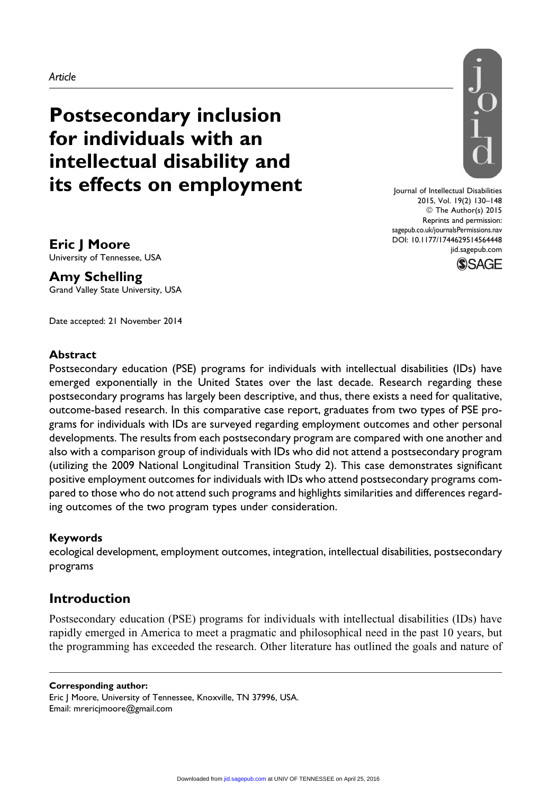## Postsecondary inclusion for individuals with an intellectual disability and its effects on employment



Journal of Intellectual Disabilities 2015, Vol. 19(2) 130–148 © The Author(s) 2015 Reprints and permission: [sagepub.co.uk/journalsPermissions.nav](http://www.sagepub.co.uk/journalsPermissions.nav) DOI: 10.1177/1744629514564448 [jid.sagepub.com](http://jid.sagepub.com)



Eric J Moore University of Tennessee, USA

Amy Schelling Grand Valley State University, USA

Date accepted: 21 November 2014

### Abstract

Postsecondary education (PSE) programs for individuals with intellectual disabilities (IDs) have emerged exponentially in the United States over the last decade. Research regarding these postsecondary programs has largely been descriptive, and thus, there exists a need for qualitative, outcome-based research. In this comparative case report, graduates from two types of PSE programs for individuals with IDs are surveyed regarding employment outcomes and other personal developments. The results from each postsecondary program are compared with one another and also with a comparison group of individuals with IDs who did not attend a postsecondary program (utilizing the 2009 National Longitudinal Transition Study 2). This case demonstrates significant positive employment outcomes for individuals with IDs who attend postsecondary programs compared to those who do not attend such programs and highlights similarities and differences regarding outcomes of the two program types under consideration.

### Keywords

ecological development, employment outcomes, integration, intellectual disabilities, postsecondary programs

## Introduction

Postsecondary education (PSE) programs for individuals with intellectual disabilities (IDs) have rapidly emerged in America to meet a pragmatic and philosophical need in the past 10 years, but the programming has exceeded the research. Other literature has outlined the goals and nature of

#### Corresponding author:

Eric J Moore, University of Tennessee, Knoxville, TN 37996, USA. Email: mrericjmoore@gmail.com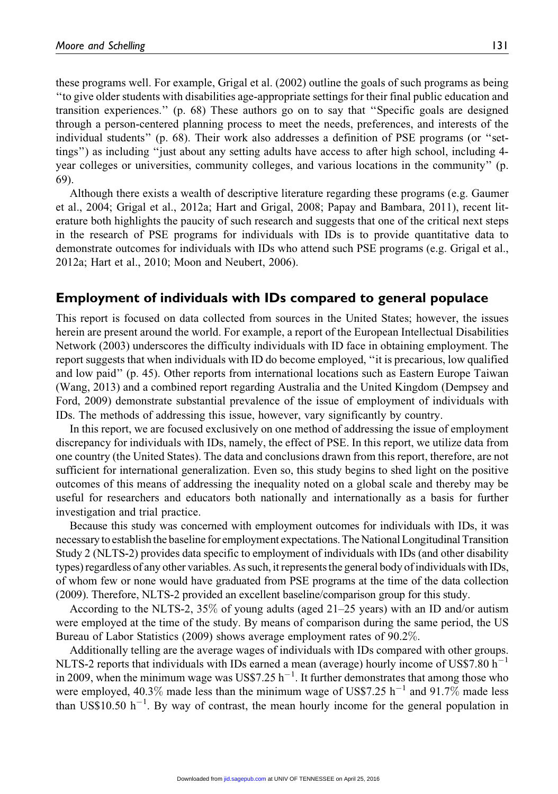these programs well. For example, Grigal et al. (2002) outline the goals of such programs as being ''to give older students with disabilities age-appropriate settings for their final public education and transition experiences.'' (p. 68) These authors go on to say that ''Specific goals are designed through a person-centered planning process to meet the needs, preferences, and interests of the individual students" (p. 68). Their work also addresses a definition of PSE programs (or "settings'') as including ''just about any setting adults have access to after high school, including 4 year colleges or universities, community colleges, and various locations in the community'' (p. 69).

Although there exists a wealth of descriptive literature regarding these programs (e.g. Gaumer et al., 2004; Grigal et al., 2012a; Hart and Grigal, 2008; Papay and Bambara, 2011), recent literature both highlights the paucity of such research and suggests that one of the critical next steps in the research of PSE programs for individuals with IDs is to provide quantitative data to demonstrate outcomes for individuals with IDs who attend such PSE programs (e.g. Grigal et al., 2012a; Hart et al., 2010; Moon and Neubert, 2006).

#### Employment of individuals with IDs compared to general populace

This report is focused on data collected from sources in the United States; however, the issues herein are present around the world. For example, a report of the European Intellectual Disabilities Network (2003) underscores the difficulty individuals with ID face in obtaining employment. The report suggests that when individuals with ID do become employed, ''it is precarious, low qualified and low paid'' (p. 45). Other reports from international locations such as Eastern Europe Taiwan (Wang, 2013) and a combined report regarding Australia and the United Kingdom (Dempsey and Ford, 2009) demonstrate substantial prevalence of the issue of employment of individuals with IDs. The methods of addressing this issue, however, vary significantly by country.

In this report, we are focused exclusively on one method of addressing the issue of employment discrepancy for individuals with IDs, namely, the effect of PSE. In this report, we utilize data from one country (the United States). The data and conclusions drawn from this report, therefore, are not sufficient for international generalization. Even so, this study begins to shed light on the positive outcomes of this means of addressing the inequality noted on a global scale and thereby may be useful for researchers and educators both nationally and internationally as a basis for further investigation and trial practice.

Because this study was concerned with employment outcomes for individuals with IDs, it was necessaryto establishthe baseline for employment expectations. The National Longitudinal Transition Study 2 (NLTS-2) provides data specific to employment of individuals with IDs (and other disability types) regardless of any other variables. As such, it represents the general body of individuals with IDs, of whom few or none would have graduated from PSE programs at the time of the data collection (2009). Therefore, NLTS-2 provided an excellent baseline/comparison group for this study.

According to the NLTS-2, 35% of young adults (aged 21–25 years) with an ID and/or autism were employed at the time of the study. By means of comparison during the same period, the US Bureau of Labor Statistics (2009) shows average employment rates of 90.2%.

Additionally telling are the average wages of individuals with IDs compared with other groups. NLTS-2 reports that individuals with IDs earned a mean (average) hourly income of US\$7.80  $h^{-1}$ in 2009, when the minimum wage was US\$7.25  $h^{-1}$ . It further demonstrates that among those who were employed, 40.3% made less than the minimum wage of US\$7.25  $h^{-1}$  and 91.7% made less than US\$10.50  $h^{-1}$ . By way of contrast, the mean hourly income for the general population in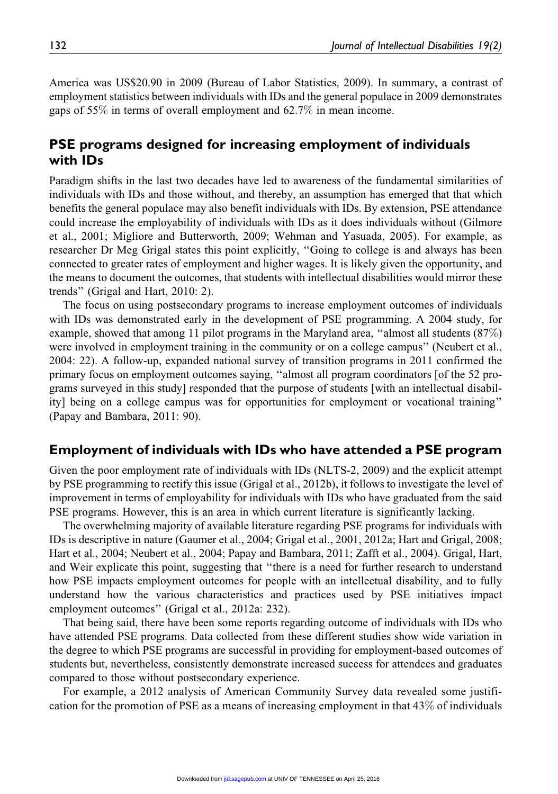America was US\$20.90 in 2009 (Bureau of Labor Statistics, 2009). In summary, a contrast of employment statistics between individuals with IDs and the general populace in 2009 demonstrates gaps of 55% in terms of overall employment and 62.7% in mean income.

## PSE programs designed for increasing employment of individuals with IDs

Paradigm shifts in the last two decades have led to awareness of the fundamental similarities of individuals with IDs and those without, and thereby, an assumption has emerged that that which benefits the general populace may also benefit individuals with IDs. By extension, PSE attendance could increase the employability of individuals with IDs as it does individuals without (Gilmore et al., 2001; Migliore and Butterworth, 2009; Wehman and Yasuada, 2005). For example, as researcher Dr Meg Grigal states this point explicitly, ''Going to college is and always has been connected to greater rates of employment and higher wages. It is likely given the opportunity, and the means to document the outcomes, that students with intellectual disabilities would mirror these trends'' (Grigal and Hart, 2010: 2).

The focus on using postsecondary programs to increase employment outcomes of individuals with IDs was demonstrated early in the development of PSE programming. A 2004 study, for example, showed that among 11 pilot programs in the Maryland area, ''almost all students (87%) were involved in employment training in the community or on a college campus'' (Neubert et al., 2004: 22). A follow-up, expanded national survey of transition programs in 2011 confirmed the primary focus on employment outcomes saying, ''almost all program coordinators [of the 52 programs surveyed in this study] responded that the purpose of students [with an intellectual disability] being on a college campus was for opportunities for employment or vocational training'' (Papay and Bambara, 2011: 90).

#### Employment of individuals with IDs who have attended a PSE program

Given the poor employment rate of individuals with IDs (NLTS-2, 2009) and the explicit attempt by PSE programming to rectify this issue (Grigal et al., 2012b), it follows to investigate the level of improvement in terms of employability for individuals with IDs who have graduated from the said PSE programs. However, this is an area in which current literature is significantly lacking.

The overwhelming majority of available literature regarding PSE programs for individuals with IDs is descriptive in nature (Gaumer et al., 2004; Grigal et al., 2001, 2012a; Hart and Grigal, 2008; Hart et al., 2004; Neubert et al., 2004; Papay and Bambara, 2011; Zafft et al., 2004). Grigal, Hart, and Weir explicate this point, suggesting that ''there is a need for further research to understand how PSE impacts employment outcomes for people with an intellectual disability, and to fully understand how the various characteristics and practices used by PSE initiatives impact employment outcomes'' (Grigal et al., 2012a: 232).

That being said, there have been some reports regarding outcome of individuals with IDs who have attended PSE programs. Data collected from these different studies show wide variation in the degree to which PSE programs are successful in providing for employment-based outcomes of students but, nevertheless, consistently demonstrate increased success for attendees and graduates compared to those without postsecondary experience.

For example, a 2012 analysis of American Community Survey data revealed some justification for the promotion of PSE as a means of increasing employment in that 43% of individuals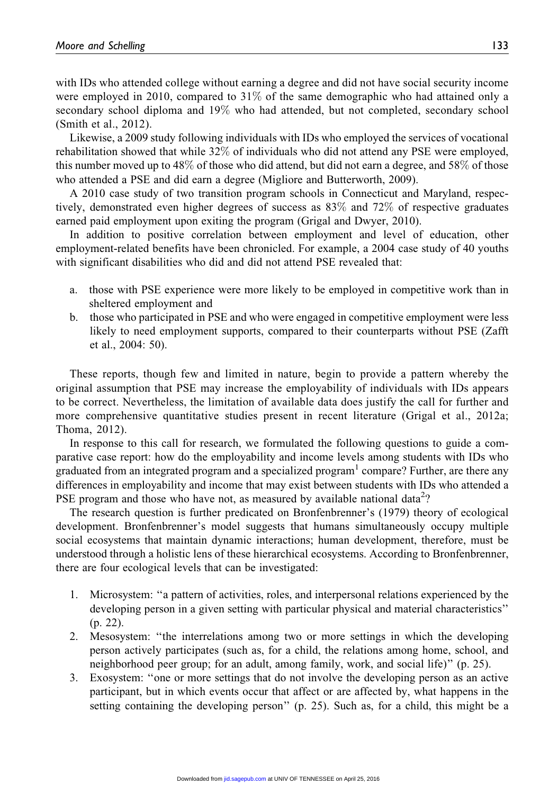with IDs who attended college without earning a degree and did not have social security income were employed in 2010, compared to 31% of the same demographic who had attained only a secondary school diploma and 19% who had attended, but not completed, secondary school (Smith et al., 2012).

Likewise, a 2009 study following individuals with IDs who employed the services of vocational rehabilitation showed that while 32% of individuals who did not attend any PSE were employed, this number moved up to 48% of those who did attend, but did not earn a degree, and 58% of those who attended a PSE and did earn a degree (Migliore and Butterworth, 2009).

A 2010 case study of two transition program schools in Connecticut and Maryland, respectively, demonstrated even higher degrees of success as 83% and 72% of respective graduates earned paid employment upon exiting the program (Grigal and Dwyer, 2010).

In addition to positive correlation between employment and level of education, other employment-related benefits have been chronicled. For example, a 2004 case study of 40 youths with significant disabilities who did and did not attend PSE revealed that:

- a. those with PSE experience were more likely to be employed in competitive work than in sheltered employment and
- b. those who participated in PSE and who were engaged in competitive employment were less likely to need employment supports, compared to their counterparts without PSE (Zafft et al., 2004: 50).

These reports, though few and limited in nature, begin to provide a pattern whereby the original assumption that PSE may increase the employability of individuals with IDs appears to be correct. Nevertheless, the limitation of available data does justify the call for further and more comprehensive quantitative studies present in recent literature (Grigal et al., 2012a; Thoma, 2012).

In response to this call for research, we formulated the following questions to guide a comparative case report: how do the employability and income levels among students with IDs who graduated from an integrated program and a specialized program $<sup>1</sup>$  compare? Further, are there any</sup> differences in employability and income that may exist between students with IDs who attended a PSE program and those who have not, as measured by available national data<sup>2</sup>?

The research question is further predicated on Bronfenbrenner's (1979) theory of ecological development. Bronfenbrenner's model suggests that humans simultaneously occupy multiple social ecosystems that maintain dynamic interactions; human development, therefore, must be understood through a holistic lens of these hierarchical ecosystems. According to Bronfenbrenner, there are four ecological levels that can be investigated:

- 1. Microsystem: ''a pattern of activities, roles, and interpersonal relations experienced by the developing person in a given setting with particular physical and material characteristics'' (p. 22).
- 2. Mesosystem: ''the interrelations among two or more settings in which the developing person actively participates (such as, for a child, the relations among home, school, and neighborhood peer group; for an adult, among family, work, and social life)'' (p. 25).
- 3. Exosystem: ''one or more settings that do not involve the developing person as an active participant, but in which events occur that affect or are affected by, what happens in the setting containing the developing person'' (p. 25). Such as, for a child, this might be a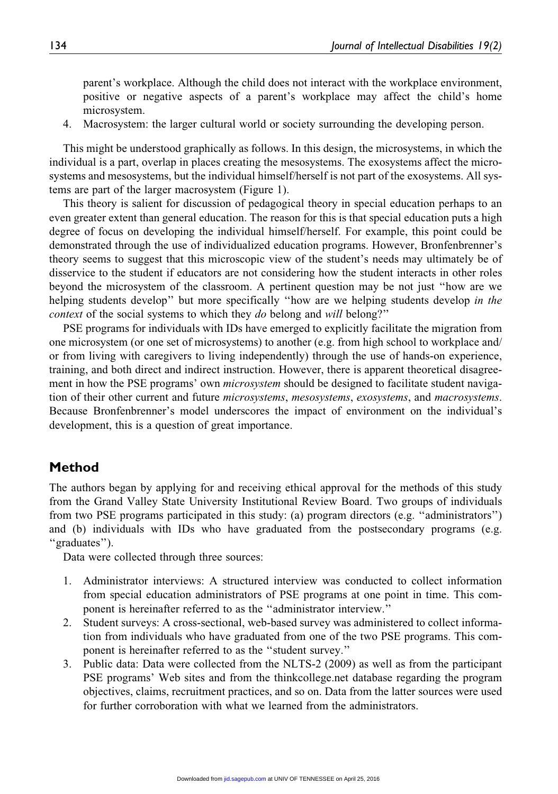parent's workplace. Although the child does not interact with the workplace environment, positive or negative aspects of a parent's workplace may affect the child's home microsystem.

4. Macrosystem: the larger cultural world or society surrounding the developing person.

This might be understood graphically as follows. In this design, the microsystems, in which the individual is a part, overlap in places creating the mesosystems. The exosystems affect the microsystems and mesosystems, but the individual himself/herself is not part of the exosystems. All systems are part of the larger macrosystem (Figure 1).

This theory is salient for discussion of pedagogical theory in special education perhaps to an even greater extent than general education. The reason for this is that special education puts a high degree of focus on developing the individual himself/herself. For example, this point could be demonstrated through the use of individualized education programs. However, Bronfenbrenner's theory seems to suggest that this microscopic view of the student's needs may ultimately be of disservice to the student if educators are not considering how the student interacts in other roles beyond the microsystem of the classroom. A pertinent question may be not just ''how are we helping students develop" but more specifically "how are we helping students develop in the context of the social systems to which they do belong and will belong?"

PSE programs for individuals with IDs have emerged to explicitly facilitate the migration from one microsystem (or one set of microsystems) to another (e.g. from high school to workplace and/ or from living with caregivers to living independently) through the use of hands-on experience, training, and both direct and indirect instruction. However, there is apparent theoretical disagreement in how the PSE programs' own *microsystem* should be designed to facilitate student navigation of their other current and future microsystems, mesosystems, exosystems, and macrosystems. Because Bronfenbrenner's model underscores the impact of environment on the individual's development, this is a question of great importance.

## Method

The authors began by applying for and receiving ethical approval for the methods of this study from the Grand Valley State University Institutional Review Board. Two groups of individuals from two PSE programs participated in this study: (a) program directors (e.g. ''administrators'') and (b) individuals with IDs who have graduated from the postsecondary programs (e.g. ''graduates'').

Data were collected through three sources:

- 1. Administrator interviews: A structured interview was conducted to collect information from special education administrators of PSE programs at one point in time. This component is hereinafter referred to as the ''administrator interview.''
- 2. Student surveys: A cross-sectional, web-based survey was administered to collect information from individuals who have graduated from one of the two PSE programs. This component is hereinafter referred to as the ''student survey.''
- 3. Public data: Data were collected from the NLTS-2 (2009) as well as from the participant PSE programs' Web sites and from the thinkcollege.net database regarding the program objectives, claims, recruitment practices, and so on. Data from the latter sources were used for further corroboration with what we learned from the administrators.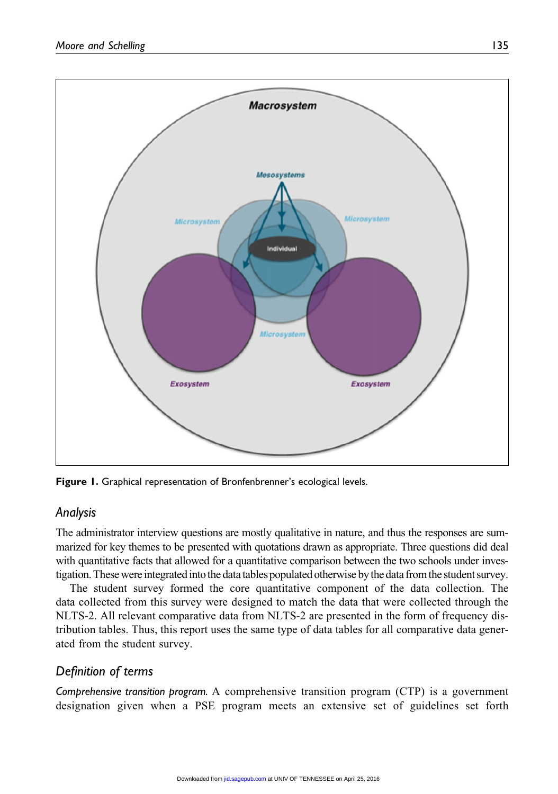

Figure 1. Graphical representation of Bronfenbrenner's ecological levels.

### Analysis

The administrator interview questions are mostly qualitative in nature, and thus the responses are summarized for key themes to be presented with quotations drawn as appropriate. Three questions did deal with quantitative facts that allowed for a quantitative comparison between the two schools under investigation. These were integrated into the data tables populated otherwise by the data from the student survey.

The student survey formed the core quantitative component of the data collection. The data collected from this survey were designed to match the data that were collected through the NLTS-2. All relevant comparative data from NLTS-2 are presented in the form of frequency distribution tables. Thus, this report uses the same type of data tables for all comparative data generated from the student survey.

## Definition of terms

Comprehensive transition program. A comprehensive transition program (CTP) is a government designation given when a PSE program meets an extensive set of guidelines set forth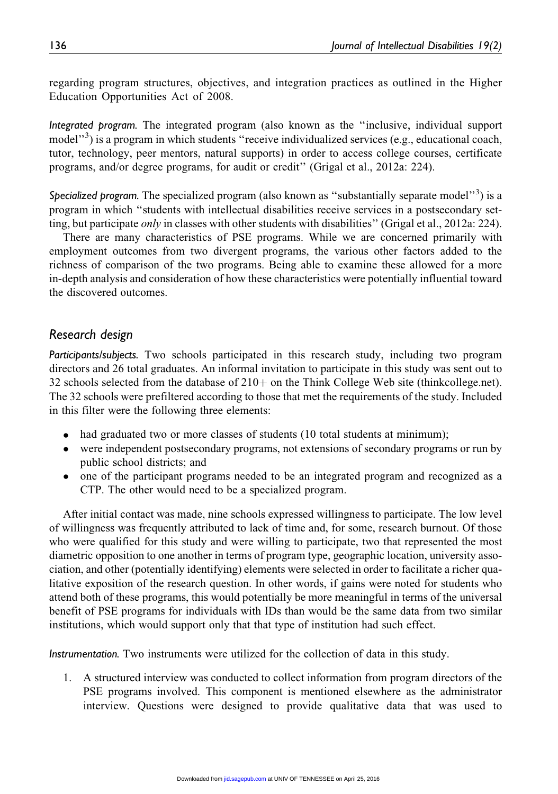regarding program structures, objectives, and integration practices as outlined in the Higher Education Opportunities Act of 2008.

Integrated program. The integrated program (also known as the ''inclusive, individual support model"<sup>3</sup>) is a program in which students "receive individualized services (e.g., educational coach, tutor, technology, peer mentors, natural supports) in order to access college courses, certificate programs, and/or degree programs, for audit or credit'' (Grigal et al., 2012a: 224).

Specialized program. The specialized program (also known as "substantially separate model"<sup>3</sup>) is a program in which ''students with intellectual disabilities receive services in a postsecondary setting, but participate only in classes with other students with disabilities'' (Grigal et al., 2012a: 224).

There are many characteristics of PSE programs. While we are concerned primarily with employment outcomes from two divergent programs, the various other factors added to the richness of comparison of the two programs. Being able to examine these allowed for a more in-depth analysis and consideration of how these characteristics were potentially influential toward the discovered outcomes.

#### Research design

Participants/subjects. Two schools participated in this research study, including two program directors and 26 total graduates. An informal invitation to participate in this study was sent out to 32 schools selected from the database of  $210+$  on the Think College Web site (thinkcollege.net). The 32 schools were prefiltered according to those that met the requirements of the study. Included in this filter were the following three elements:

- had graduated two or more classes of students (10 total students at minimum);
- were independent postsecondary programs, not extensions of secondary programs or run by public school districts; and
- one of the participant programs needed to be an integrated program and recognized as a CTP. The other would need to be a specialized program.

After initial contact was made, nine schools expressed willingness to participate. The low level of willingness was frequently attributed to lack of time and, for some, research burnout. Of those who were qualified for this study and were willing to participate, two that represented the most diametric opposition to one another in terms of program type, geographic location, university association, and other (potentially identifying) elements were selected in order to facilitate a richer qualitative exposition of the research question. In other words, if gains were noted for students who attend both of these programs, this would potentially be more meaningful in terms of the universal benefit of PSE programs for individuals with IDs than would be the same data from two similar institutions, which would support only that that type of institution had such effect.

Instrumentation. Two instruments were utilized for the collection of data in this study.

1. A structured interview was conducted to collect information from program directors of the PSE programs involved. This component is mentioned elsewhere as the administrator interview. Questions were designed to provide qualitative data that was used to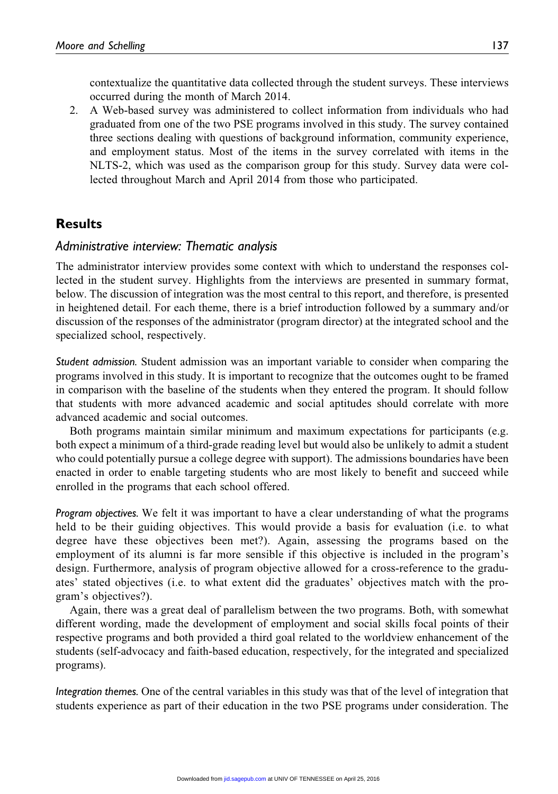contextualize the quantitative data collected through the student surveys. These interviews occurred during the month of March 2014.

2. A Web-based survey was administered to collect information from individuals who had graduated from one of the two PSE programs involved in this study. The survey contained three sections dealing with questions of background information, community experience, and employment status. Most of the items in the survey correlated with items in the NLTS-2, which was used as the comparison group for this study. Survey data were collected throughout March and April 2014 from those who participated.

## **Results**

#### Administrative interview: Thematic analysis

The administrator interview provides some context with which to understand the responses collected in the student survey. Highlights from the interviews are presented in summary format, below. The discussion of integration was the most central to this report, and therefore, is presented in heightened detail. For each theme, there is a brief introduction followed by a summary and/or discussion of the responses of the administrator (program director) at the integrated school and the specialized school, respectively.

Student admission. Student admission was an important variable to consider when comparing the programs involved in this study. It is important to recognize that the outcomes ought to be framed in comparison with the baseline of the students when they entered the program. It should follow that students with more advanced academic and social aptitudes should correlate with more advanced academic and social outcomes.

Both programs maintain similar minimum and maximum expectations for participants (e.g. both expect a minimum of a third-grade reading level but would also be unlikely to admit a student who could potentially pursue a college degree with support). The admissions boundaries have been enacted in order to enable targeting students who are most likely to benefit and succeed while enrolled in the programs that each school offered.

Program objectives. We felt it was important to have a clear understanding of what the programs held to be their guiding objectives. This would provide a basis for evaluation (i.e. to what degree have these objectives been met?). Again, assessing the programs based on the employment of its alumni is far more sensible if this objective is included in the program's design. Furthermore, analysis of program objective allowed for a cross-reference to the graduates' stated objectives (i.e. to what extent did the graduates' objectives match with the program's objectives?).

Again, there was a great deal of parallelism between the two programs. Both, with somewhat different wording, made the development of employment and social skills focal points of their respective programs and both provided a third goal related to the worldview enhancement of the students (self-advocacy and faith-based education, respectively, for the integrated and specialized programs).

Integration themes. One of the central variables in this study was that of the level of integration that students experience as part of their education in the two PSE programs under consideration. The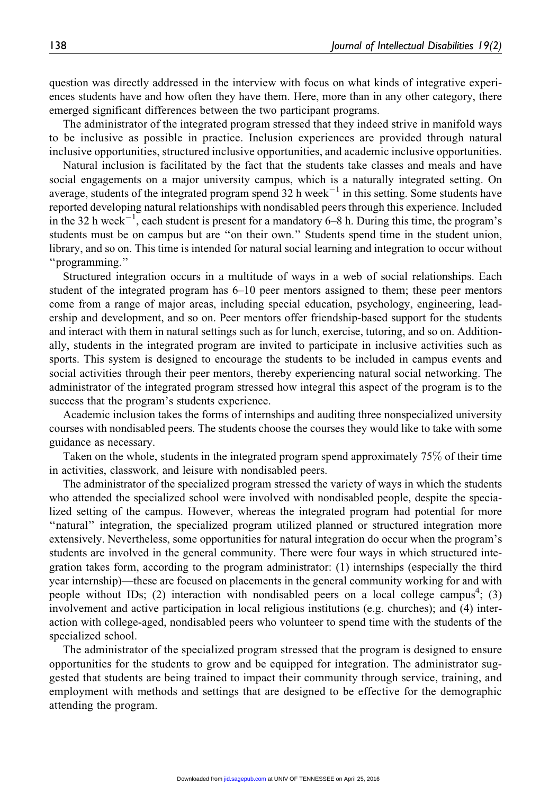question was directly addressed in the interview with focus on what kinds of integrative experiences students have and how often they have them. Here, more than in any other category, there emerged significant differences between the two participant programs.

The administrator of the integrated program stressed that they indeed strive in manifold ways to be inclusive as possible in practice. Inclusion experiences are provided through natural inclusive opportunities, structured inclusive opportunities, and academic inclusive opportunities.

Natural inclusion is facilitated by the fact that the students take classes and meals and have social engagements on a major university campus, which is a naturally integrated setting. On average, students of the integrated program spend 32 h week $^{-1}$  in this setting. Some students have reported developing natural relationships with nondisabled peers through this experience. Included in the 32 h week<sup> $-1$ </sup>, each student is present for a mandatory 6–8 h. During this time, the program's students must be on campus but are ''on their own.'' Students spend time in the student union, library, and so on. This time is intended for natural social learning and integration to occur without ''programming.''

Structured integration occurs in a multitude of ways in a web of social relationships. Each student of the integrated program has 6–10 peer mentors assigned to them; these peer mentors come from a range of major areas, including special education, psychology, engineering, leadership and development, and so on. Peer mentors offer friendship-based support for the students and interact with them in natural settings such as for lunch, exercise, tutoring, and so on. Additionally, students in the integrated program are invited to participate in inclusive activities such as sports. This system is designed to encourage the students to be included in campus events and social activities through their peer mentors, thereby experiencing natural social networking. The administrator of the integrated program stressed how integral this aspect of the program is to the success that the program's students experience.

Academic inclusion takes the forms of internships and auditing three nonspecialized university courses with nondisabled peers. The students choose the courses they would like to take with some guidance as necessary.

Taken on the whole, students in the integrated program spend approximately 75% of their time in activities, classwork, and leisure with nondisabled peers.

The administrator of the specialized program stressed the variety of ways in which the students who attended the specialized school were involved with nondisabled people, despite the specialized setting of the campus. However, whereas the integrated program had potential for more ''natural'' integration, the specialized program utilized planned or structured integration more extensively. Nevertheless, some opportunities for natural integration do occur when the program's students are involved in the general community. There were four ways in which structured integration takes form, according to the program administrator: (1) internships (especially the third year internship)—these are focused on placements in the general community working for and with people without IDs; (2) interaction with nondisabled peers on a local college campus<sup>4</sup>; (3) involvement and active participation in local religious institutions (e.g. churches); and (4) interaction with college-aged, nondisabled peers who volunteer to spend time with the students of the specialized school.

The administrator of the specialized program stressed that the program is designed to ensure opportunities for the students to grow and be equipped for integration. The administrator suggested that students are being trained to impact their community through service, training, and employment with methods and settings that are designed to be effective for the demographic attending the program.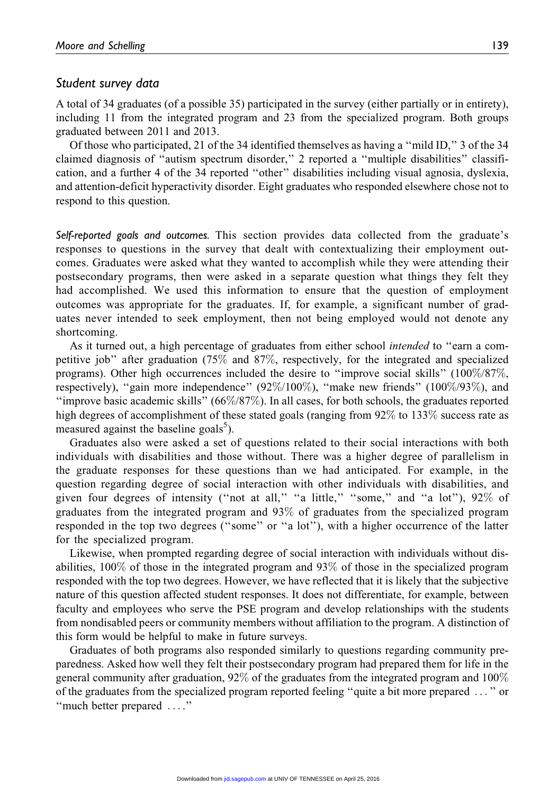#### Student survey data

A total of 34 graduates (of a possible 35) participated in the survey (either partially or in entirety), including 11 from the integrated program and 23 from the specialized program. Both groups graduated between 2011 and 2013.

Of those who participated, 21 of the 34 identified themselves as having a ''mild ID,'' 3 of the 34 claimed diagnosis of ''autism spectrum disorder,'' 2 reported a ''multiple disabilities'' classification, and a further 4 of the 34 reported ''other'' disabilities including visual agnosia, dyslexia, and attention-deficit hyperactivity disorder. Eight graduates who responded elsewhere chose not to respond to this question.

Self-reported goals and outcomes. This section provides data collected from the graduate's responses to questions in the survey that dealt with contextualizing their employment outcomes. Graduates were asked what they wanted to accomplish while they were attending their postsecondary programs, then were asked in a separate question what things they felt they had accomplished. We used this information to ensure that the question of employment outcomes was appropriate for the graduates. If, for example, a significant number of graduates never intended to seek employment, then not being employed would not denote any shortcoming.

As it turned out, a high percentage of graduates from either school intended to ''earn a competitive job'' after graduation (75% and 87%, respectively, for the integrated and specialized programs). Other high occurrences included the desire to ''improve social skills'' (100%/87%, respectively), ''gain more independence'' (92%/100%), ''make new friends'' (100%/93%), and ''improve basic academic skills'' (66%/87%). In all cases, for both schools, the graduates reported high degrees of accomplishment of these stated goals (ranging from 92% to 133% success rate as measured against the baseline goals<sup>5</sup>).

Graduates also were asked a set of questions related to their social interactions with both individuals with disabilities and those without. There was a higher degree of parallelism in the graduate responses for these questions than we had anticipated. For example, in the question regarding degree of social interaction with other individuals with disabilities, and given four degrees of intensity (''not at all,'' ''a little,'' ''some,'' and ''a lot''), 92% of graduates from the integrated program and 93% of graduates from the specialized program responded in the top two degrees (''some'' or ''a lot''), with a higher occurrence of the latter for the specialized program.

Likewise, when prompted regarding degree of social interaction with individuals without disabilities, 100% of those in the integrated program and 93% of those in the specialized program responded with the top two degrees. However, we have reflected that it is likely that the subjective nature of this question affected student responses. It does not differentiate, for example, between faculty and employees who serve the PSE program and develop relationships with the students from nondisabled peers or community members without affiliation to the program. A distinction of this form would be helpful to make in future surveys.

Graduates of both programs also responded similarly to questions regarding community preparedness. Asked how well they felt their postsecondary program had prepared them for life in the general community after graduation, 92% of the graduates from the integrated program and 100% of the graduates from the specialized program reported feeling ''quite a bit more prepared ... '' or ''much better prepared ... .''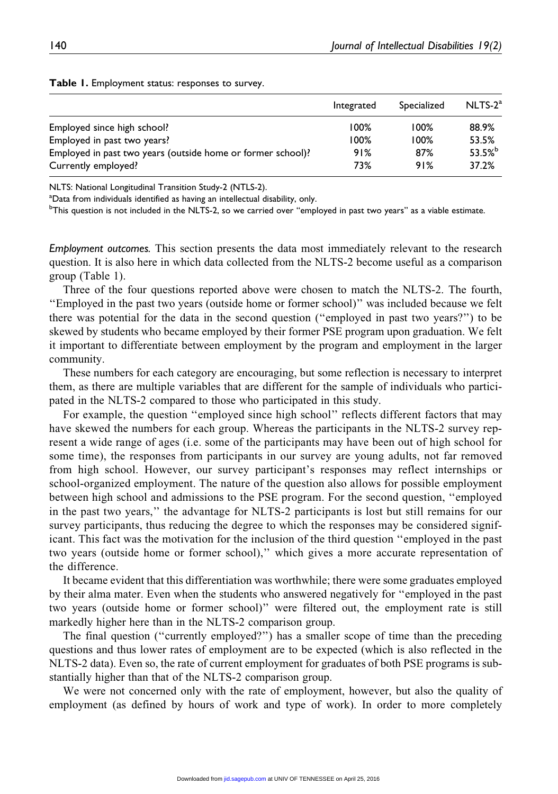|                                                             | Integrated | Specialized | $NLTS-2a$   |
|-------------------------------------------------------------|------------|-------------|-------------|
| Employed since high school?                                 | 100%       | $100\%$     | 88.9%       |
| Employed in past two years?                                 | 100%       | 100%        | 53.5%       |
| Employed in past two years (outside home or former school)? | 91%        | 87%         | $53.5%^{b}$ |
| Currently employed?                                         | 73%        | 91%         | 37.2%       |

#### Table 1. Employment status: responses to survey.

NLTS: National Longitudinal Transition Study-2 (NTLS-2).

<sup>a</sup>Data from individuals identified as having an intellectual disability, only.

<sup>b</sup>This question is not included in the NLTS-2, so we carried over "employed in past two years" as a viable estimate.

Employment outcomes. This section presents the data most immediately relevant to the research question. It is also here in which data collected from the NLTS-2 become useful as a comparison group (Table 1).

Three of the four questions reported above were chosen to match the NLTS-2. The fourth, ''Employed in the past two years (outside home or former school)'' was included because we felt there was potential for the data in the second question (''employed in past two years?'') to be skewed by students who became employed by their former PSE program upon graduation. We felt it important to differentiate between employment by the program and employment in the larger community.

These numbers for each category are encouraging, but some reflection is necessary to interpret them, as there are multiple variables that are different for the sample of individuals who participated in the NLTS-2 compared to those who participated in this study.

For example, the question "employed since high school" reflects different factors that may have skewed the numbers for each group. Whereas the participants in the NLTS-2 survey represent a wide range of ages (i.e. some of the participants may have been out of high school for some time), the responses from participants in our survey are young adults, not far removed from high school. However, our survey participant's responses may reflect internships or school-organized employment. The nature of the question also allows for possible employment between high school and admissions to the PSE program. For the second question, ''employed in the past two years,'' the advantage for NLTS-2 participants is lost but still remains for our survey participants, thus reducing the degree to which the responses may be considered significant. This fact was the motivation for the inclusion of the third question ''employed in the past two years (outside home or former school),'' which gives a more accurate representation of the difference.

It became evident that this differentiation was worthwhile; there were some graduates employed by their alma mater. Even when the students who answered negatively for ''employed in the past two years (outside home or former school)'' were filtered out, the employment rate is still markedly higher here than in the NLTS-2 comparison group.

The final question (''currently employed?'') has a smaller scope of time than the preceding questions and thus lower rates of employment are to be expected (which is also reflected in the NLTS-2 data). Even so, the rate of current employment for graduates of both PSE programs is substantially higher than that of the NLTS-2 comparison group.

We were not concerned only with the rate of employment, however, but also the quality of employment (as defined by hours of work and type of work). In order to more completely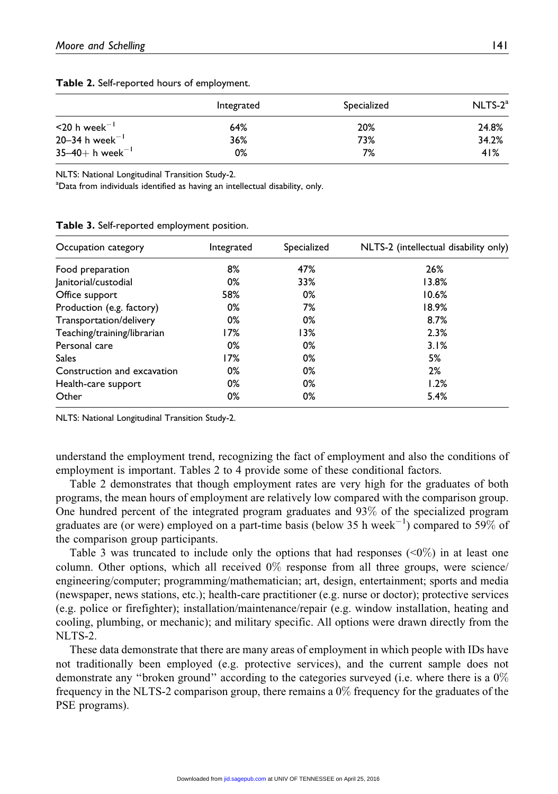|                                  | Integrated | Specialized | $NLTS-2a$ |
|----------------------------------|------------|-------------|-----------|
| $\leq$ 20 h week $^{-1}$         | 64%        | 20%         | 24.8%     |
| 20-34 h week <sup>-1</sup>       | 36%        | 73%         | 34.2%     |
| $35 - 40 + h$ week <sup>-1</sup> | 0%         | 7%          | 41%       |

Table 2. Self-reported hours of employment.

NLTS: National Longitudinal Transition Study-2.

<sup>a</sup>Data from individuals identified as having an intellectual disability, only.

| Occupation category         | Integrated | Specialized | NLTS-2 (intellectual disability only) |
|-----------------------------|------------|-------------|---------------------------------------|
| Food preparation            | 8%         | 47%         | 26%                                   |
| Janitorial/custodial        | 0%         | 33%         | 13.8%                                 |
| Office support              | 58%        | 0%          | 10.6%                                 |
| Production (e.g. factory)   | 0%         | 7%          | 18.9%                                 |
| Transportation/delivery     | 0%         | 0%          | 8.7%                                  |
| Teaching/training/librarian | 17%        | 13%         | 2.3%                                  |
| Personal care               | 0%         | 0%          | 3.1%                                  |
| <b>Sales</b>                | 17%        | 0%          | 5%                                    |
| Construction and excavation | 0%         | 0%          | 2%                                    |
| Health-care support         | 0%         | 0%          | 1.2%                                  |
| Other                       | 0%         | 0%          | 5.4%                                  |

Table 3. Self-reported employment position.

NLTS: National Longitudinal Transition Study-2.

understand the employment trend, recognizing the fact of employment and also the conditions of employment is important. Tables 2 to 4 provide some of these conditional factors.

Table 2 demonstrates that though employment rates are very high for the graduates of both programs, the mean hours of employment are relatively low compared with the comparison group. One hundred percent of the integrated program graduates and 93% of the specialized program graduates are (or were) employed on a part-time basis (below 35 h week<sup>-1</sup>) compared to 59% of the comparison group participants.

Table 3 was truncated to include only the options that had responses  $(0\%)$  in at least one column. Other options, which all received  $0\%$  response from all three groups, were science/ engineering/computer; programming/mathematician; art, design, entertainment; sports and media (newspaper, news stations, etc.); health-care practitioner (e.g. nurse or doctor); protective services (e.g. police or firefighter); installation/maintenance/repair (e.g. window installation, heating and cooling, plumbing, or mechanic); and military specific. All options were drawn directly from the NLTS-2.

These data demonstrate that there are many areas of employment in which people with IDs have not traditionally been employed (e.g. protective services), and the current sample does not demonstrate any ''broken ground'' according to the categories surveyed (i.e. where there is a 0% frequency in the NLTS-2 comparison group, there remains a  $0\%$  frequency for the graduates of the PSE programs).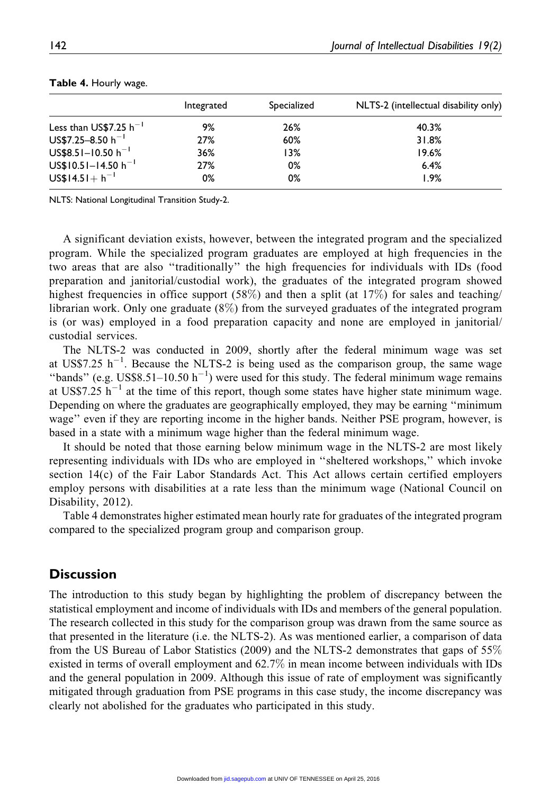|                           | Integrated | Specialized | NLTS-2 (intellectual disability only) |
|---------------------------|------------|-------------|---------------------------------------|
| Less than $US$7.25 h-1$   | 9%         | 26%         | 40.3%                                 |
| $US$7.25 - 8.50 h^{-1}$   | 27%        | 60%         | 31.8%                                 |
| $US$8.51-10.50 h^{-1}$    | 36%        | 13%         | 19.6%                                 |
| $US$10.51 - 14.50 h^{-1}$ | 27%        | 0%          | 6.4%                                  |
| $US$14.51 + h^{-1}$       | 0%         | 0%          | 1.9%                                  |

#### Table 4. Hourly wage.

NLTS: National Longitudinal Transition Study-2.

A significant deviation exists, however, between the integrated program and the specialized program. While the specialized program graduates are employed at high frequencies in the two areas that are also ''traditionally'' the high frequencies for individuals with IDs (food preparation and janitorial/custodial work), the graduates of the integrated program showed highest frequencies in office support (58%) and then a split (at 17%) for sales and teaching/ librarian work. Only one graduate (8%) from the surveyed graduates of the integrated program is (or was) employed in a food preparation capacity and none are employed in janitorial/ custodial services.

The NLTS-2 was conducted in 2009, shortly after the federal minimum wage was set at US\$7.25  $h^{-1}$ . Because the NLTS-2 is being used as the comparison group, the same wage "bands" (e.g. US\$8.51-10.50  $h^{-1}$ ) were used for this study. The federal minimum wage remains at US\$7.25  $h^{-1}$  at the time of this report, though some states have higher state minimum wage. Depending on where the graduates are geographically employed, they may be earning ''minimum wage'' even if they are reporting income in the higher bands. Neither PSE program, however, is based in a state with a minimum wage higher than the federal minimum wage.

It should be noted that those earning below minimum wage in the NLTS-2 are most likely representing individuals with IDs who are employed in ''sheltered workshops,'' which invoke section 14(c) of the Fair Labor Standards Act. This Act allows certain certified employers employ persons with disabilities at a rate less than the minimum wage (National Council on Disability, 2012).

Table 4 demonstrates higher estimated mean hourly rate for graduates of the integrated program compared to the specialized program group and comparison group.

#### **Discussion**

The introduction to this study began by highlighting the problem of discrepancy between the statistical employment and income of individuals with IDs and members of the general population. The research collected in this study for the comparison group was drawn from the same source as that presented in the literature (i.e. the NLTS-2). As was mentioned earlier, a comparison of data from the US Bureau of Labor Statistics (2009) and the NLTS-2 demonstrates that gaps of 55% existed in terms of overall employment and 62.7% in mean income between individuals with IDs and the general population in 2009. Although this issue of rate of employment was significantly mitigated through graduation from PSE programs in this case study, the income discrepancy was clearly not abolished for the graduates who participated in this study.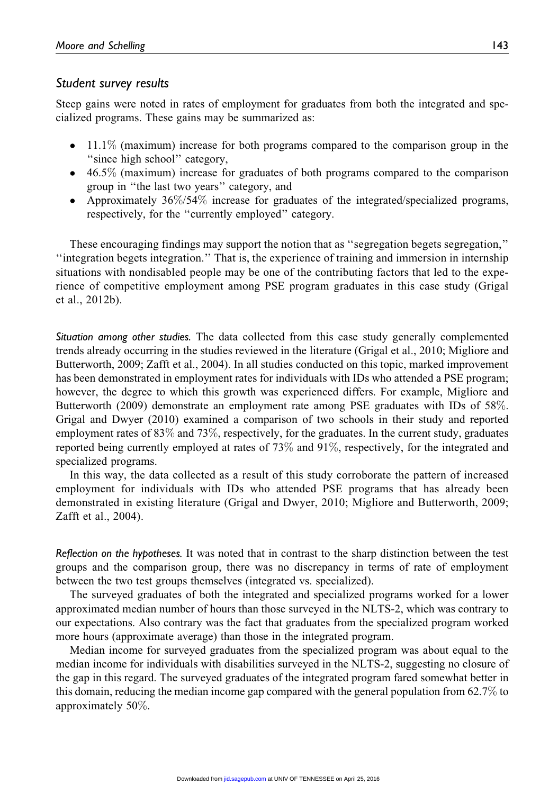## Student survey results

Steep gains were noted in rates of employment for graduates from both the integrated and specialized programs. These gains may be summarized as:

- 11.1% (maximum) increase for both programs compared to the comparison group in the "since high school" category,
- 46.5% (maximum) increase for graduates of both programs compared to the comparison group in ''the last two years'' category, and
- Approximately 36%/54% increase for graduates of the integrated/specialized programs, respectively, for the ''currently employed'' category.

These encouraging findings may support the notion that as ''segregation begets segregation,'' ''integration begets integration.'' That is, the experience of training and immersion in internship situations with nondisabled people may be one of the contributing factors that led to the experience of competitive employment among PSE program graduates in this case study (Grigal et al., 2012b).

Situation among other studies. The data collected from this case study generally complemented trends already occurring in the studies reviewed in the literature (Grigal et al., 2010; Migliore and Butterworth, 2009; Zafft et al., 2004). In all studies conducted on this topic, marked improvement has been demonstrated in employment rates for individuals with IDs who attended a PSE program; however, the degree to which this growth was experienced differs. For example, Migliore and Butterworth (2009) demonstrate an employment rate among PSE graduates with IDs of 58%. Grigal and Dwyer (2010) examined a comparison of two schools in their study and reported employment rates of 83% and 73%, respectively, for the graduates. In the current study, graduates reported being currently employed at rates of 73% and 91%, respectively, for the integrated and specialized programs.

In this way, the data collected as a result of this study corroborate the pattern of increased employment for individuals with IDs who attended PSE programs that has already been demonstrated in existing literature (Grigal and Dwyer, 2010; Migliore and Butterworth, 2009; Zafft et al., 2004).

Reflection on the hypotheses. It was noted that in contrast to the sharp distinction between the test groups and the comparison group, there was no discrepancy in terms of rate of employment between the two test groups themselves (integrated vs. specialized).

The surveyed graduates of both the integrated and specialized programs worked for a lower approximated median number of hours than those surveyed in the NLTS-2, which was contrary to our expectations. Also contrary was the fact that graduates from the specialized program worked more hours (approximate average) than those in the integrated program.

Median income for surveyed graduates from the specialized program was about equal to the median income for individuals with disabilities surveyed in the NLTS-2, suggesting no closure of the gap in this regard. The surveyed graduates of the integrated program fared somewhat better in this domain, reducing the median income gap compared with the general population from 62.7% to approximately 50%.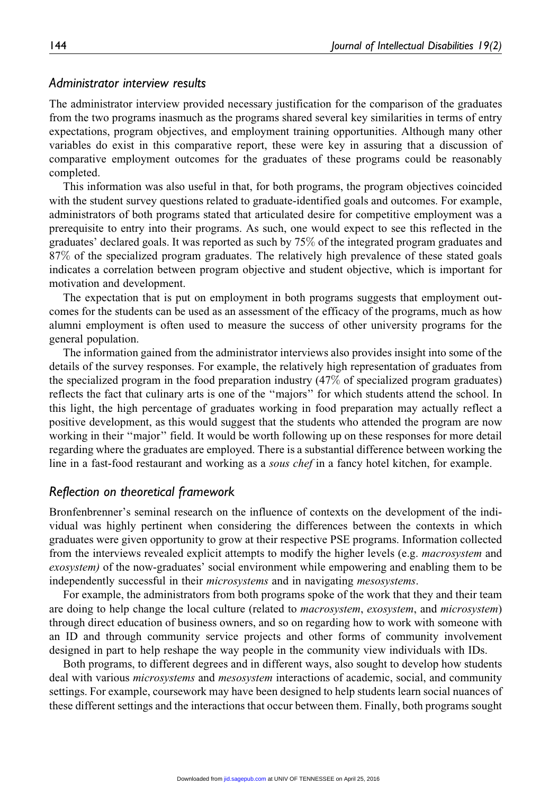#### Administrator interview results

The administrator interview provided necessary justification for the comparison of the graduates from the two programs inasmuch as the programs shared several key similarities in terms of entry expectations, program objectives, and employment training opportunities. Although many other variables do exist in this comparative report, these were key in assuring that a discussion of comparative employment outcomes for the graduates of these programs could be reasonably completed.

This information was also useful in that, for both programs, the program objectives coincided with the student survey questions related to graduate-identified goals and outcomes. For example, administrators of both programs stated that articulated desire for competitive employment was a prerequisite to entry into their programs. As such, one would expect to see this reflected in the graduates' declared goals. It was reported as such by 75% of the integrated program graduates and 87% of the specialized program graduates. The relatively high prevalence of these stated goals indicates a correlation between program objective and student objective, which is important for motivation and development.

The expectation that is put on employment in both programs suggests that employment outcomes for the students can be used as an assessment of the efficacy of the programs, much as how alumni employment is often used to measure the success of other university programs for the general population.

The information gained from the administrator interviews also provides insight into some of the details of the survey responses. For example, the relatively high representation of graduates from the specialized program in the food preparation industry (47% of specialized program graduates) reflects the fact that culinary arts is one of the ''majors'' for which students attend the school. In this light, the high percentage of graduates working in food preparation may actually reflect a positive development, as this would suggest that the students who attended the program are now working in their ''major'' field. It would be worth following up on these responses for more detail regarding where the graduates are employed. There is a substantial difference between working the line in a fast-food restaurant and working as a sous chef in a fancy hotel kitchen, for example.

#### Reflection on theoretical framework

Bronfenbrenner's seminal research on the influence of contexts on the development of the individual was highly pertinent when considering the differences between the contexts in which graduates were given opportunity to grow at their respective PSE programs. Information collected from the interviews revealed explicit attempts to modify the higher levels (e.g. *macrosystem* and exosystem) of the now-graduates' social environment while empowering and enabling them to be independently successful in their *microsystems* and in navigating *mesosystems*.

For example, the administrators from both programs spoke of the work that they and their team are doing to help change the local culture (related to macrosystem, exosystem, and microsystem) through direct education of business owners, and so on regarding how to work with someone with an ID and through community service projects and other forms of community involvement designed in part to help reshape the way people in the community view individuals with IDs.

Both programs, to different degrees and in different ways, also sought to develop how students deal with various *microsystems* and *mesosystem* interactions of academic, social, and community settings. For example, coursework may have been designed to help students learn social nuances of these different settings and the interactions that occur between them. Finally, both programs sought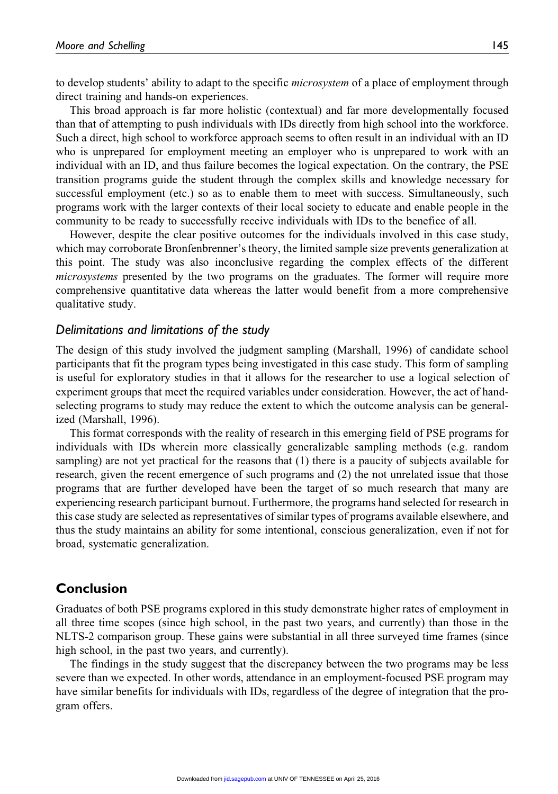to develop students' ability to adapt to the specific *microsystem* of a place of employment through direct training and hands-on experiences.

This broad approach is far more holistic (contextual) and far more developmentally focused than that of attempting to push individuals with IDs directly from high school into the workforce. Such a direct, high school to workforce approach seems to often result in an individual with an ID who is unprepared for employment meeting an employer who is unprepared to work with an individual with an ID, and thus failure becomes the logical expectation. On the contrary, the PSE transition programs guide the student through the complex skills and knowledge necessary for successful employment (etc.) so as to enable them to meet with success. Simultaneously, such programs work with the larger contexts of their local society to educate and enable people in the community to be ready to successfully receive individuals with IDs to the benefice of all.

However, despite the clear positive outcomes for the individuals involved in this case study, which may corroborate Bronfenbrenner's theory, the limited sample size prevents generalization at this point. The study was also inconclusive regarding the complex effects of the different microsystems presented by the two programs on the graduates. The former will require more comprehensive quantitative data whereas the latter would benefit from a more comprehensive qualitative study.

#### Delimitations and limitations of the study

The design of this study involved the judgment sampling (Marshall, 1996) of candidate school participants that fit the program types being investigated in this case study. This form of sampling is useful for exploratory studies in that it allows for the researcher to use a logical selection of experiment groups that meet the required variables under consideration. However, the act of handselecting programs to study may reduce the extent to which the outcome analysis can be generalized (Marshall, 1996).

This format corresponds with the reality of research in this emerging field of PSE programs for individuals with IDs wherein more classically generalizable sampling methods (e.g. random sampling) are not yet practical for the reasons that (1) there is a paucity of subjects available for research, given the recent emergence of such programs and (2) the not unrelated issue that those programs that are further developed have been the target of so much research that many are experiencing research participant burnout. Furthermore, the programs hand selected for research in this case study are selected as representatives of similar types of programs available elsewhere, and thus the study maintains an ability for some intentional, conscious generalization, even if not for broad, systematic generalization.

### Conclusion

Graduates of both PSE programs explored in this study demonstrate higher rates of employment in all three time scopes (since high school, in the past two years, and currently) than those in the NLTS-2 comparison group. These gains were substantial in all three surveyed time frames (since high school, in the past two years, and currently).

The findings in the study suggest that the discrepancy between the two programs may be less severe than we expected. In other words, attendance in an employment-focused PSE program may have similar benefits for individuals with IDs, regardless of the degree of integration that the program offers.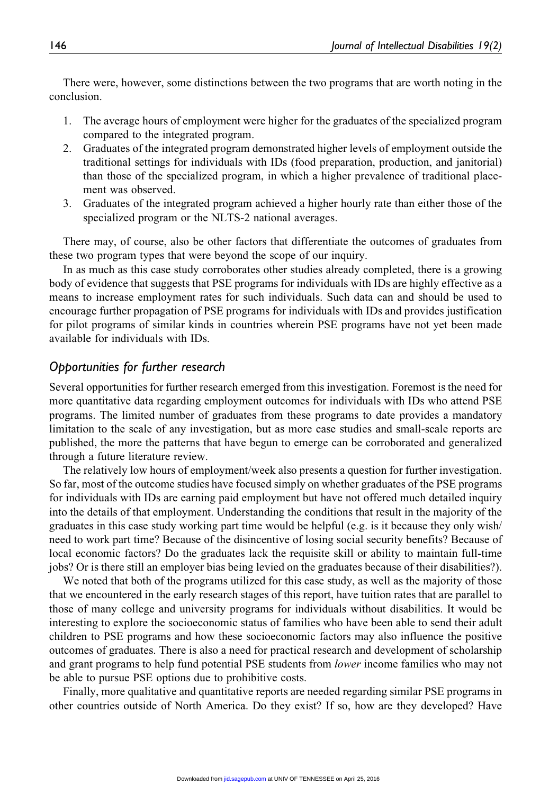There were, however, some distinctions between the two programs that are worth noting in the conclusion.

- 1. The average hours of employment were higher for the graduates of the specialized program compared to the integrated program.
- 2. Graduates of the integrated program demonstrated higher levels of employment outside the traditional settings for individuals with IDs (food preparation, production, and janitorial) than those of the specialized program, in which a higher prevalence of traditional placement was observed.
- 3. Graduates of the integrated program achieved a higher hourly rate than either those of the specialized program or the NLTS-2 national averages.

There may, of course, also be other factors that differentiate the outcomes of graduates from these two program types that were beyond the scope of our inquiry.

In as much as this case study corroborates other studies already completed, there is a growing body of evidence that suggests that PSE programs for individuals with IDs are highly effective as a means to increase employment rates for such individuals. Such data can and should be used to encourage further propagation of PSE programs for individuals with IDs and provides justification for pilot programs of similar kinds in countries wherein PSE programs have not yet been made available for individuals with IDs.

### Opportunities for further research

Several opportunities for further research emerged from this investigation. Foremost is the need for more quantitative data regarding employment outcomes for individuals with IDs who attend PSE programs. The limited number of graduates from these programs to date provides a mandatory limitation to the scale of any investigation, but as more case studies and small-scale reports are published, the more the patterns that have begun to emerge can be corroborated and generalized through a future literature review.

The relatively low hours of employment/week also presents a question for further investigation. So far, most of the outcome studies have focused simply on whether graduates of the PSE programs for individuals with IDs are earning paid employment but have not offered much detailed inquiry into the details of that employment. Understanding the conditions that result in the majority of the graduates in this case study working part time would be helpful (e.g. is it because they only wish/ need to work part time? Because of the disincentive of losing social security benefits? Because of local economic factors? Do the graduates lack the requisite skill or ability to maintain full-time jobs? Or is there still an employer bias being levied on the graduates because of their disabilities?).

We noted that both of the programs utilized for this case study, as well as the majority of those that we encountered in the early research stages of this report, have tuition rates that are parallel to those of many college and university programs for individuals without disabilities. It would be interesting to explore the socioeconomic status of families who have been able to send their adult children to PSE programs and how these socioeconomic factors may also influence the positive outcomes of graduates. There is also a need for practical research and development of scholarship and grant programs to help fund potential PSE students from lower income families who may not be able to pursue PSE options due to prohibitive costs.

Finally, more qualitative and quantitative reports are needed regarding similar PSE programs in other countries outside of North America. Do they exist? If so, how are they developed? Have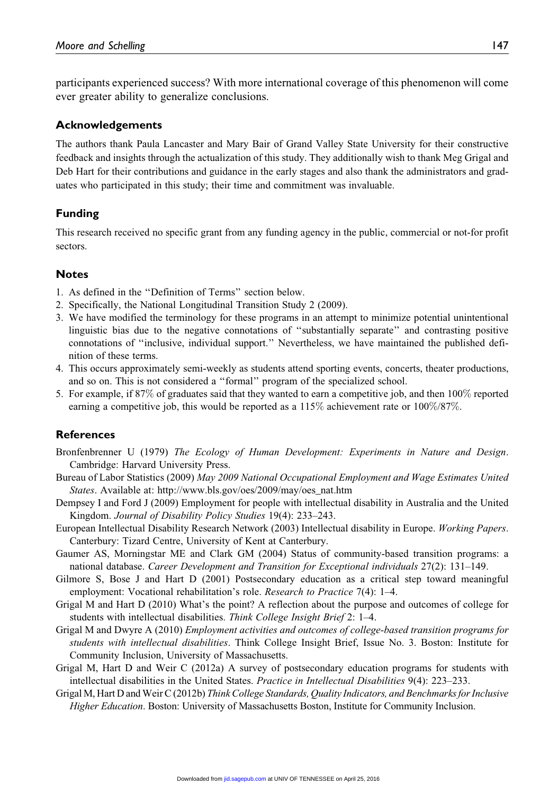participants experienced success? With more international coverage of this phenomenon will come ever greater ability to generalize conclusions.

#### Acknowledgements

The authors thank Paula Lancaster and Mary Bair of Grand Valley State University for their constructive feedback and insights through the actualization of this study. They additionally wish to thank Meg Grigal and Deb Hart for their contributions and guidance in the early stages and also thank the administrators and graduates who participated in this study; their time and commitment was invaluable.

#### Funding

This research received no specific grant from any funding agency in the public, commercial or not-for profit sectors.

#### Notes

- 1. As defined in the ''Definition of Terms'' section below.
- 2. Specifically, the National Longitudinal Transition Study 2 (2009).
- 3. We have modified the terminology for these programs in an attempt to minimize potential unintentional linguistic bias due to the negative connotations of ''substantially separate'' and contrasting positive connotations of ''inclusive, individual support.'' Nevertheless, we have maintained the published definition of these terms.
- 4. This occurs approximately semi-weekly as students attend sporting events, concerts, theater productions, and so on. This is not considered a ''formal'' program of the specialized school.
- 5. For example, if 87% of graduates said that they wanted to earn a competitive job, and then 100% reported earning a competitive job, this would be reported as a 115% achievement rate or 100%/87%.

#### References

- Bronfenbrenner U (1979) The Ecology of Human Development: Experiments in Nature and Design. Cambridge: Harvard University Press.
- Bureau of Labor Statistics (2009) May 2009 National Occupational Employment and Wage Estimates United States. Available at: [http://www.bls.gov/oes/2009/may/oes\\_nat.htm](http://www.bls.gov/oes/2009/may/oes_nat.htm)
- Dempsey I and Ford J (2009) Employment for people with intellectual disability in Australia and the United Kingdom. Journal of Disability Policy Studies 19(4): 233–243.
- European Intellectual Disability Research Network (2003) Intellectual disability in Europe. Working Papers. Canterbury: Tizard Centre, University of Kent at Canterbury.
- Gaumer AS, Morningstar ME and Clark GM (2004) Status of community-based transition programs: a national database. Career Development and Transition for Exceptional individuals 27(2): 131–149.
- Gilmore S, Bose J and Hart D (2001) Postsecondary education as a critical step toward meaningful employment: Vocational rehabilitation's role. Research to Practice 7(4): 1–4.
- Grigal M and Hart D (2010) What's the point? A reflection about the purpose and outcomes of college for students with intellectual disabilities. Think College Insight Brief 2: 1–4.
- Grigal M and Dwyre A (2010) Employment activities and outcomes of college-based transition programs for students with intellectual disabilities. Think College Insight Brief, Issue No. 3. Boston: Institute for Community Inclusion, University of Massachusetts.
- Grigal M, Hart D and Weir C (2012a) A survey of postsecondary education programs for students with intellectual disabilities in the United States. Practice in Intellectual Disabilities 9(4): 223–233.
- Grigal M, Hart D and Weir C (2012b) Think College Standards, Quality Indicators, and Benchmarks for Inclusive Higher Education. Boston: University of Massachusetts Boston, Institute for Community Inclusion.